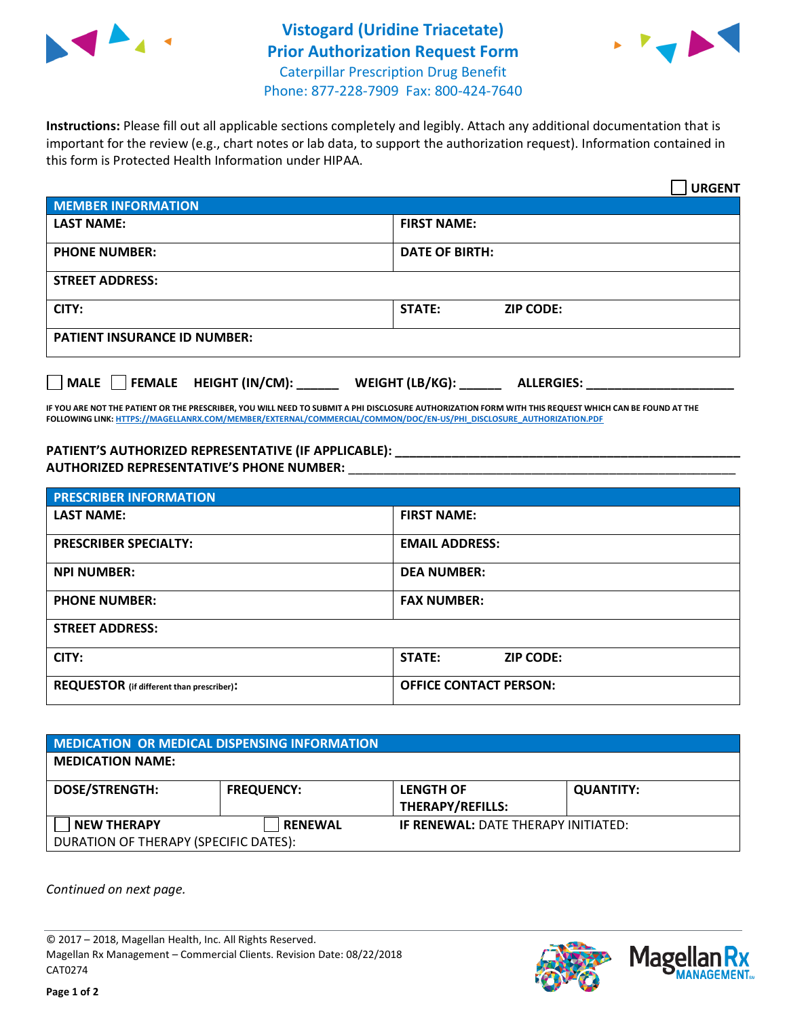



**Instructions:** Please fill out all applicable sections completely and legibly. Attach any additional documentation that is important for the review (e.g., chart notes or lab data, to support the authorization request). Information contained in this form is Protected Health Information under HIPAA.

|                                       | <b>URGENT</b>                        |  |  |  |
|---------------------------------------|--------------------------------------|--|--|--|
| <b>MEMBER INFORMATION</b>             |                                      |  |  |  |
| <b>LAST NAME:</b>                     | <b>FIRST NAME:</b>                   |  |  |  |
| <b>PHONE NUMBER:</b>                  | <b>DATE OF BIRTH:</b>                |  |  |  |
| <b>STREET ADDRESS:</b>                |                                      |  |  |  |
| CITY:                                 | STATE:<br><b>ZIP CODE:</b>           |  |  |  |
| <b>PATIENT INSURANCE ID NUMBER:</b>   |                                      |  |  |  |
| FEMALE HEIGHT (IN/CM):<br><b>MALE</b> | WEIGHT (LB/KG):<br><b>ALLERGIES:</b> |  |  |  |

**IF YOU ARE NOT THE PATIENT OR THE PRESCRIBER, YOU WILL NEED TO SUBMIT A PHI DISCLOSURE AUTHORIZATION FORM WITH THIS REQUEST WHICH CAN BE FOUND AT THE FOLLOWING LINK[: HTTPS://MAGELLANRX.COM/MEMBER/EXTERNAL/COMMERCIAL/COMMON/DOC/EN-US/PHI\\_DISCLOSURE\\_AUTHORIZATION.PDF](https://magellanrx.com/member/external/commercial/common/doc/en-us/PHI_Disclosure_Authorization.pdf)**

**PATIENT'S AUTHORIZED REPRESENTATIVE (IF APPLICABLE): \_\_\_\_\_\_\_\_\_\_\_\_\_\_\_\_\_\_\_\_\_\_\_\_\_\_\_\_\_\_\_\_\_\_\_\_\_\_\_\_\_\_\_\_\_\_\_\_\_ AUTHORIZED REPRESENTATIVE'S PHONE NUMBER:** \_\_\_\_\_\_\_\_\_\_\_\_\_\_\_\_\_\_\_\_\_\_\_\_\_\_\_\_\_\_\_\_\_\_\_\_\_\_\_\_\_\_\_\_\_\_\_\_\_\_\_\_\_\_\_

| <b>PRESCRIBER INFORMATION</b>             |                               |  |  |  |
|-------------------------------------------|-------------------------------|--|--|--|
| <b>LAST NAME:</b>                         | <b>FIRST NAME:</b>            |  |  |  |
| <b>PRESCRIBER SPECIALTY:</b>              | <b>EMAIL ADDRESS:</b>         |  |  |  |
| <b>NPI NUMBER:</b>                        | <b>DEA NUMBER:</b>            |  |  |  |
| <b>PHONE NUMBER:</b>                      | <b>FAX NUMBER:</b>            |  |  |  |
| <b>STREET ADDRESS:</b>                    |                               |  |  |  |
| CITY:                                     | STATE:<br><b>ZIP CODE:</b>    |  |  |  |
| REQUESTOR (if different than prescriber): | <b>OFFICE CONTACT PERSON:</b> |  |  |  |

| <b>MEDICATION OR MEDICAL DISPENSING INFORMATION</b> |                   |                                            |                  |  |  |
|-----------------------------------------------------|-------------------|--------------------------------------------|------------------|--|--|
| <b>MEDICATION NAME:</b>                             |                   |                                            |                  |  |  |
| <b>DOSE/STRENGTH:</b>                               | <b>FREQUENCY:</b> | <b>LENGTH OF</b>                           | <b>QUANTITY:</b> |  |  |
|                                                     |                   | <b>THERAPY/REFILLS:</b>                    |                  |  |  |
| <b>NEW THERAPY</b>                                  | <b>RENEWAL</b>    | <b>IF RENEWAL: DATE THERAPY INITIATED:</b> |                  |  |  |
| DURATION OF THERAPY (SPECIFIC DATES):               |                   |                                            |                  |  |  |

*Continued on next page.*

© 2017 – 2018, Magellan Health, Inc. All Rights Reserved. Magellan Rx Management – Commercial Clients. Revision Date: 08/22/2018 CAT0274